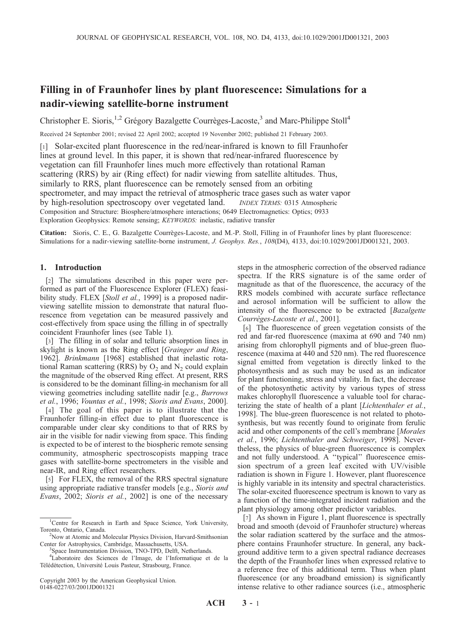# Filling in of Fraunhofer lines by plant fluorescence: Simulations for a nadir-viewing satellite-borne instrument

Christopher E. Sioris,<sup>1,2</sup> Grégory Bazalgette Courrèges-Lacoste,<sup>3</sup> and Marc-Philippe Stoll<sup>4</sup>

Received 24 September 2001; revised 22 April 2002; accepted 19 November 2002; published 21 February 2003.

[1] Solar-excited plant fluorescence in the red/near-infrared is known to fill Fraunhofer lines at ground level. In this paper, it is shown that red/near-infrared fluorescence by vegetation can fill Fraunhofer lines much more effectively than rotational Raman scattering (RRS) by air (Ring effect) for nadir viewing from satellite altitudes. Thus, similarly to RRS, plant fluorescence can be remotely sensed from an orbiting spectrometer, and may impact the retrieval of atmospheric trace gases such as water vapor by high-resolution spectroscopy over vegetated land. *INDEX TERMS:* 0315 Atmospheric Composition and Structure: Biosphere/atmosphere interactions; 0649 Electromagnetics: Optics; 0933 Exploration Geophysics: Remote sensing; KEYWORDS: inelastic, radiative transfer

Citation: Sioris, C. E., G. Bazalgette Courrèges-Lacoste, and M.-P. Stoll, Filling in of Fraunhofer lines by plant fluorescence: Simulations for a nadir-viewing satellite-borne instrument, J. Geophys. Res., 108(D4), 4133, doi:10.1029/2001JD001321, 2003.

## 1. Introduction

[2] The simulations described in this paper were performed as part of the Fluorescence Explorer (FLEX) feasibility study. FLEX [Stoll et al., 1999] is a proposed nadirviewing satellite mission to demonstrate that natural fluorescence from vegetation can be measured passively and cost-effectively from space using the filling in of spectrally coincident Fraunhofer lines (see Table 1).

[3] The filling in of solar and telluric absorption lines in skylight is known as the Ring effect [Grainger and Ring, 1962]. Brinkmann [1968] established that inelastic rotational Raman scattering (RRS) by  $O_2$  and  $N_2$  could explain the magnitude of the observed Ring effect. At present, RRS is considered to be the dominant filling-in mechanism for all viewing geometries including satellite nadir [e.g., Burrows et al., 1996; Vountas et al., 1998; Sioris and Evans, 2000].

[4] The goal of this paper is to illustrate that the Fraunhofer filling-in effect due to plant fluorescence is comparable under clear sky conditions to that of RRS by air in the visible for nadir viewing from space. This finding is expected to be of interest to the biospheric remote sensing community, atmospheric spectroscopists mapping trace gases with satellite-borne spectrometers in the visible and near-IR, and Ring effect researchers.

[5] For FLEX, the removal of the RRS spectral signature using appropriate radiative transfer models [e.g., *Sioris and* Evans, 2002; Sioris et al., 2002] is one of the necessary

Copyright 2003 by the American Geophysical Union. 0148-0227/03/2001JD001321

steps in the atmospheric correction of the observed radiance spectra. If the RRS signature is of the same order of magnitude as that of the fluorescence, the accuracy of the RRS models combined with accurate surface reflectance and aerosol information will be sufficient to allow the intensity of the fluorescence to be extracted [Bazalgette Courrèges-Lacoste et al., 2001].

[6] The fluorescence of green vegetation consists of the red and far-red fluorescence (maxima at 690 and 740 nm) arising from chlorophyll pigments and of blue-green fluorescence (maxima at 440 and 520 nm). The red fluorescence signal emitted from vegetation is directly linked to the photosynthesis and as such may be used as an indicator for plant functioning, stress and vitality. In fact, the decrease of the photosynthetic activity by various types of stress makes chlorophyll fluorescence a valuable tool for characterizing the state of health of a plant [*Lichtenthaler et al.*, 1998]. The blue-green fluorescence is not related to photosynthesis, but was recently found to originate from ferulic acid and other components of the cell's membrane [Morales et al., 1996; Lichtenthaler and Schweiger, 1998]. Nevertheless, the physics of blue-green fluorescence is complex and not fully understood. A ''typical'' fluorescence emission spectrum of a green leaf excited with UV/visible radiation is shown in Figure 1. However, plant fluorescence is highly variable in its intensity and spectral characteristics. The solar-excited fluorescence spectrum is known to vary as a function of the time-integrated incident radiation and the plant physiology among other predictor variables.

[7] As shown in Figure 1, plant fluorescence is spectrally broad and smooth (devoid of Fraunhofer structure) whereas the solar radiation scattered by the surface and the atmosphere contains Fraunhofer structure. In general, any background additive term to a given spectral radiance decreases the depth of the Fraunhofer lines when expressed relative to a reference free of this additional term. Thus when plant fluorescence (or any broadband emission) is significantly intense relative to other radiance sources (i.e., atmospheric

<sup>&</sup>lt;sup>1</sup>Centre for Research in Earth and Space Science, York University, Toronto, Ontario, Canada. <sup>2</sup>

<sup>&</sup>lt;sup>2</sup>Now at Atomic and Molecular Physics Division, Harvard-Smithsonian Center for Astrophysics, Cambridge, Massachusetts, USA. <sup>3</sup>

<sup>&</sup>lt;sup>3</sup>Space Instrumentation Division, TNO-TPD, Delft, Netherlands.

<sup>4</sup> Laboratoire des Sciences de l'Image, de l'Informatique et de la Télédétection, Université Louis Pasteur, Strasbourg, France.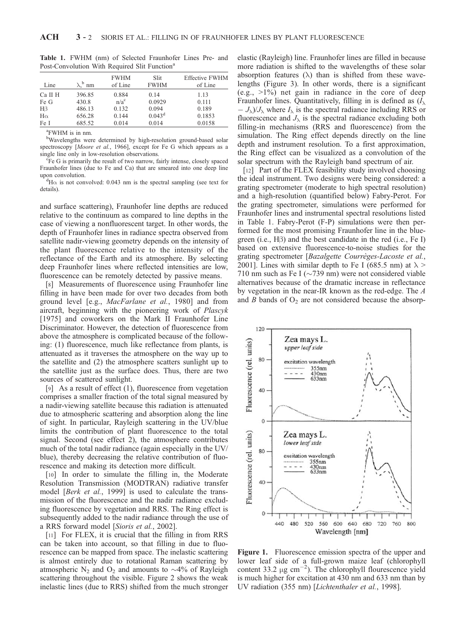| Line      | $\lambda$ . <sup>b</sup> nm | <b>FWHM</b><br>of Line | Slit<br><b>FWHM</b> | <b>Effective FWHM</b><br>of Line |
|-----------|-----------------------------|------------------------|---------------------|----------------------------------|
| Ca II H   | 396.85                      | 0.884                  | 0.14                | 1.13                             |
| Fe G      | 430.8                       | $n/a^c$                | 0.0929              | 0.111                            |
| $H\beta$  | 486.13                      | 0.132                  | 0.094               | 0.189                            |
| $H\alpha$ | 656.28                      | 0.144                  | $0.043^d$           | 0.1853                           |
| Fe I      | 685.52                      | 0.014                  | 0.014               | 0.0158                           |
|           |                             |                        |                     |                                  |

Table 1. FWHM (nm) of Selected Fraunhofer Lines Pre- and Post-Convolution With Required Slit Function<sup>a</sup>

a FWHM is in nm.

b Wavelengths were determined by high-resolution ground-based solar spectroscopy [Moore et al., 1966], except for Fe G which appears as a single line only in low-resolution observations.

Fe G is primarily the result of two narrow, fairly intense, closely spaced Fraunhofer lines (due to Fe and Ca) that are smeared into one deep line upon convolution.

 ${}^{d}$ H $\alpha$  is not convolved: 0.043 nm is the spectral sampling (see text for details).

and surface scattering), Fraunhofer line depths are reduced relative to the continuum as compared to line depths in the case of viewing a nonfluorescent target. In other words, the depth of Fraunhofer lines in radiance spectra observed from satellite nadir-viewing geometry depends on the intensity of the plant fluorescence relative to the intensity of the reflectance of the Earth and its atmosphere. By selecting deep Fraunhofer lines where reflected intensities are low, fluorescence can be remotely detected by passive means.

[8] Measurements of fluorescence using Fraunhofer line filling in have been made for over two decades from both ground level [e.g., MacFarlane et al., 1980] and from aircraft, beginning with the pioneering work of Plascyk [1975] and coworkers on the Mark II Fraunhofer Line Discriminator. However, the detection of fluorescence from above the atmosphere is complicated because of the following: (1) fluorescence, much like reflectance from plants, is attenuated as it traverses the atmosphere on the way up to the satellite and (2) the atmosphere scatters sunlight up to the satellite just as the surface does. Thus, there are two sources of scattered sunlight.

[9] As a result of effect (1), fluorescence from vegetation comprises a smaller fraction of the total signal measured by a nadir-viewing satellite because this radiation is attenuated due to atmospheric scattering and absorption along the line of sight. In particular, Rayleigh scattering in the UV/blue limits the contribution of plant fluorescence to the total signal. Second (see effect 2), the atmosphere contributes much of the total nadir radiance (again especially in the UV/ blue), thereby decreasing the relative contribution of fluorescence and making its detection more difficult.

[10] In order to simulate the filling in, the Moderate Resolution Transmission (MODTRAN) radiative transfer model [*Berk et al.*, 1999] is used to calculate the transmission of the fluorescence and the nadir radiance excluding fluorescence by vegetation and RRS. The Ring effect is subsequently added to the nadir radiance through the use of a RRS forward model [Sioris et al., 2002].

[11] For FLEX, it is crucial that the filling in from RRS can be taken into account, so that filling in due to fluorescence can be mapped from space. The inelastic scattering is almost entirely due to rotational Raman scattering by atmospheric N<sub>2</sub> and O<sub>2</sub> and amounts to  $\sim$ 4% of Rayleigh scattering throughout the visible. Figure 2 shows the weak inelastic lines (due to RRS) shifted from the much stronger elastic (Rayleigh) line. Fraunhofer lines are filled in because more radiation is shifted to the wavelengths of these solar absorption features  $(\lambda)$  than is shifted from these wavelengths (Figure 3). In other words, there is a significant  $(e.g., >1%)$  net gain in radiance in the core of deep Fraunhofer lines. Quantitatively, filling in is defined as  $(I_{\lambda})$  $-J_{\lambda}/J_{\lambda}$  where  $I_{\lambda}$  is the spectral radiance including RRS or fluorescence and  $J_{\lambda}$  is the spectral radiance excluding both filling-in mechanisms (RRS and fluorescence) from the simulation. The Ring effect depends directly on the line depth and instrument resolution. To a first approximation, the Ring effect can be visualized as a convolution of the solar spectrum with the Rayleigh band spectrum of air.

[12] Part of the FLEX feasibility study involved choosing the ideal instrument. Two designs were being considered: a grating spectrometer (moderate to high spectral resolution) and a high-resolution (quantified below) Fabry-Perot. For the grating spectrometer, simulations were performed for Fraunhofer lines and instrumental spectral resolutions listed in Table 1. Fabry-Perot (F-P) simulations were then performed for the most promising Fraunhofer line in the bluegreen (i.e.,  $H\beta$ ) and the best candidate in the red (i.e., Fe I) based on extensive fluorescence-to-noise studies for the grating spectrometer [Bazalgette Courrèges-Lacoste et al., 2001]. Lines with similar depth to Fe I (685.5 nm) at  $\lambda$  > 710 nm such as Fe I ( $\sim$ 739 nm) were not considered viable alternatives because of the dramatic increase in reflectance by vegetation in the near-IR known as the red-edge. The A and  $B$  bands of  $O_2$  are not considered because the absorp-



Figure 1. Fluorescence emission spectra of the upper and lower leaf side of a full-grown maize leaf (chlorophyll content 33.2  $\mu$ g cm<sup>-2</sup>). The chlorophyll flourescence yield is much higher for excitation at 430 nm and 633 nm than by UV radiation (355 nm) [Lichtenthaler et al., 1998].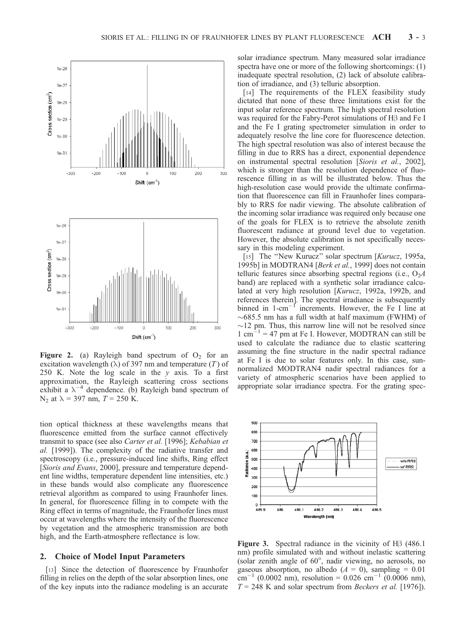

Figure 2. (a) Rayleigh band spectrum of  $O_2$  for an excitation wavelength ( $\lambda$ ) of 397 nm and temperature (T) of 250 K. Note the log scale in the  $y$  axis. To a first approximation, the Rayleigh scattering cross sections exhibit a  $\lambda^{-4}$  dependence. (b) Rayleigh band spectrum of N<sub>2</sub> at  $\lambda = 397$  nm,  $T = 250$  K.

tion optical thickness at these wavelengths means that fluorescence emitted from the surface cannot effectively transmit to space (see also Carter et al. [1996]; Kebabian et al. [1999]). The complexity of the radiative transfer and spectroscopy (i.e., pressure-induced line shifts, Ring effect [Sioris and Evans, 2000], pressure and temperature dependent line widths, temperature dependent line intensities, etc.) in these bands would also complicate any fluorescence retrieval algorithm as compared to using Fraunhofer lines. In general, for fluorescence filling in to compete with the Ring effect in terms of magnitude, the Fraunhofer lines must occur at wavelengths where the intensity of the fluorescence by vegetation and the atmospheric transmission are both high, and the Earth-atmosphere reflectance is low.

## 2. Choice of Model Input Parameters

[13] Since the detection of fluorescence by Fraunhofer filling in relies on the depth of the solar absorption lines, one of the key inputs into the radiance modeling is an accurate solar irradiance spectrum. Many measured solar irradiance spectra have one or more of the following shortcomings: (1) inadequate spectral resolution, (2) lack of absolute calibration of irradiance, and (3) telluric absorption.

[14] The requirements of the FLEX feasibility study dictated that none of these three limitations exist for the input solar reference spectrum. The high spectral resolution was required for the Fabry-Perot simulations of  $H\beta$  and Fe I and the Fe I grating spectrometer simulation in order to adequately resolve the line core for fluorescence detection. The high spectral resolution was also of interest because the filling in due to RRS has a direct, exponential dependence on instrumental spectral resolution [Sioris et al., 2002], which is stronger than the resolution dependence of fluorescence filling in as will be illustrated below. Thus the high-resolution case would provide the ultimate confirmation that fluorescence can fill in Fraunhofer lines comparably to RRS for nadir viewing. The absolute calibration of the incoming solar irradiance was required only because one of the goals for FLEX is to retrieve the absolute zenith fluorescent radiance at ground level due to vegetation. However, the absolute calibration is not specifically necessary in this modeling experiment.

[15] The "New Kurucz" solar spectrum [Kurucz, 1995a, 1995b] in MODTRAN4 [Berk et al., 1999] does not contain telluric features since absorbing spectral regions (i.e.,  $O_2A$ band) are replaced with a synthetic solar irradiance calculated at very high resolution [Kurucz, 1992a, 1992b, and references therein]. The spectral irradiance is subsequently binned in  $1$ -cm<sup>-1</sup> increments. However, the Fe I line at  $\sim$  685.5 nm has a full width at half maximum (FWHM) of  $\sim$ 12 pm. Thus, this narrow line will not be resolved since  $1 \text{ cm}^{-1}$  = 47 pm at Fe I. However, MODTRAN can still be used to calculate the radiance due to elastic scattering assuming the fine structure in the nadir spectral radiance at Fe I is due to solar features only. In this case, sunnormalized MODTRAN4 nadir spectral radiances for a variety of atmospheric scenarios have been applied to appropriate solar irradiance spectra. For the grating spec-



**Figure 3.** Spectral radiance in the vicinity of  $H\beta$  (486.1) nm) profile simulated with and without inelastic scattering (solar zenith angle of  $60^\circ$ , nadir viewing, no aerosols, no gaseous absorption, no albedo  $(A = 0)$ , sampling = 0.01  $\text{cm}^{-1}$  (0.0002 nm), resolution = 0.026 cm<sup>-1</sup> (0.0006 nm),  $T = 248$  K and solar spectrum from *Beckers et al.* [1976]).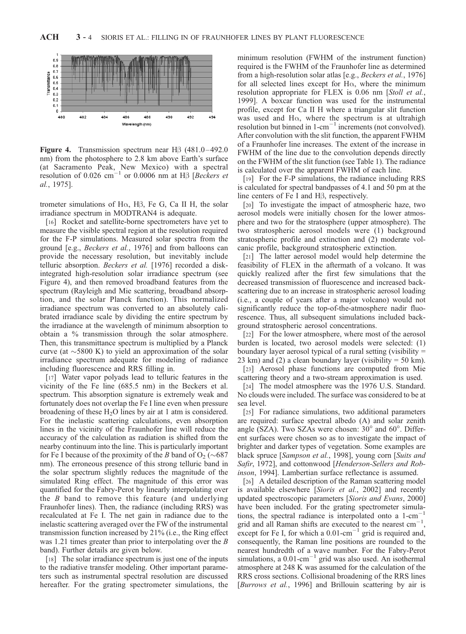

**Figure 4.** Transmission spectrum near  $H\beta$  (481.0–492.0) nm) from the photosphere to 2.8 km above Earth's surface (at Sacramento Peak, New Mexico) with a spectral resolution of 0.026  $cm^{-1}$  or 0.0006 nm at H $\beta$  [Beckers et al., 1975].

trometer simulations of  $H\alpha$ ,  $H\beta$ , Fe G, Ca II H, the solar irradiance spectrum in MODTRAN4 is adequate.

[16] Rocket and satellite-borne spectrometers have yet to measure the visible spectral region at the resolution required for the F-P simulations. Measured solar spectra from the ground [e.g., Beckers et al., 1976] and from balloons can provide the necessary resolution, but inevitably include telluric absorption. Beckers et al. [1976] recorded a diskintegrated high-resolution solar irradiance spectrum (see Figure 4), and then removed broadband features from the spectrum (Rayleigh and Mie scattering, broadband absorption, and the solar Planck function). This normalized irradiance spectrum was converted to an absolutely calibrated irradiance scale by dividing the entire spectrum by the irradiance at the wavelength of minimum absorption to obtain a % transmission through the solar atmosphere. Then, this transmittance spectrum is multiplied by a Planck curve (at  $\sim$  5800 K) to yield an approximation of the solar irradiance spectrum adequate for modeling of radiance including fluorescence and RRS filling in.

[17] Water vapor polyads lead to telluric features in the vicinity of the Fe line (685.5 nm) in the Beckers et al. spectrum. This absorption signature is extremely weak and fortunately does not overlap the Fe I line even when pressure broadening of these  $H<sub>2</sub>O$  lines by air at 1 atm is considered. For the inelastic scattering calculations, even absorption lines in the vicinity of the Fraunhofer line will reduce the accuracy of the calculation as radiation is shifted from the nearby continuum into the line. This is particularly important for Fe I because of the proximity of the B band of  $O_2 (\sim 687)$ nm). The erroneous presence of this strong telluric band in the solar spectrum slightly reduces the magnitude of the simulated Ring effect. The magnitude of this error was quantified for the Fabry-Perot by linearly interpolating over the B band to remove this feature (and underlying Fraunhofer lines). Then, the radiance (including RRS) was recalculated at Fe I. The net gain in radiance due to the inelastic scattering averaged over the FW of the instrumental transmission function increased by 21% (i.e., the Ring effect was 1.21 times greater than prior to interpolating over the B band). Further details are given below.

[18] The solar irradiance spectrum is just one of the inputs to the radiative transfer modeling. Other important parameters such as instrumental spectral resolution are discussed hereafter. For the grating spectrometer simulations, the minimum resolution (FWHM of the instrument function) required is the FWHM of the Fraunhofer line as determined from a high-resolution solar atlas [e.g., Beckers et al., 1976] for all selected lines except for  $H\alpha$ , where the minimum resolution appropriate for FLEX is 0.06 nm [Stoll et al., 1999]. A boxcar function was used for the instrumental profile, except for Ca II H where a triangular slit function was used and  $H\alpha$ , where the spectrum is at ultrahigh resolution but binned in  $1$ -cm<sup>-1</sup> increments (not convolved). After convolution with the slit function, the apparent FWHM of a Fraunhofer line increases. The extent of the increase in FWHM of the line due to the convolution depends directly on the FWHM of the slit function (see Table 1). The radiance is calculated over the apparent FWHM of each line.

[19] For the F-P simulations, the radiance including RRS is calculated for spectral bandpasses of 4.1 and 50 pm at the line centers of  $Fe I$  and  $H\beta$ , respectively.

[20] To investigate the impact of atmospheric haze, two aerosol models were initially chosen for the lower atmosphere and two for the stratosphere (upper atmosphere). The two stratospheric aerosol models were (1) background stratospheric profile and extinction and (2) moderate volcanic profile, background stratospheric extinction.

[21] The latter aerosol model would help determine the feasibility of FLEX in the aftermath of a volcano. It was quickly realized after the first few simulations that the decreased transmission of fluorescence and increased backscattering due to an increase in stratospheric aerosol loading (i.e., a couple of years after a major volcano) would not significantly reduce the top-of-the-atmosphere nadir fluorescence. Thus, all subsequent simulations included background stratospheric aerosol concentrations.

[22] For the lower atmosphere, where most of the aerosol burden is located, two aerosol models were selected: (1) boundary layer aerosol typical of a rural setting (visibility = 23 km) and (2) a clean boundary layer (visibility  $= 50$  km).

[23] Aerosol phase functions are computed from Mie scattering theory and a two-stream approximation is used.

[24] The model atmosphere was the 1976 U.S. Standard. No clouds were included. The surface was considered to be at sea level.

[25] For radiance simulations, two additional parameters are required: surface spectral albedo (A) and solar zenith angle (SZA). Two SZAs were chosen:  $30^{\circ}$  and  $60^{\circ}$ . Different surfaces were chosen so as to investigate the impact of brighter and darker types of vegetation. Some examples are black spruce [Sampson et al., 1998], young corn [Suits and Safir, 1972], and cottonwood [Henderson-Sellers and Robinson, 1994]. Lambertian surface reflectance is assumed.

[26] A detailed description of the Raman scattering model is available elsewhere [Sioris et al., 2002] and recently updated spectroscopic parameters [Sioris and Evans, 2000] have been included. For the grating spectrometer simulations, the spectral radiance is interpolated onto a 1-cm-1 grid and all Raman shifts are executed to the nearest cm-1 , except for Fe I, for which a  $0.01$ -cm<sup>-1</sup> grid is required and, consequently, the Raman line positions are rounded to the nearest hundredth of a wave number. For the Fabry-Perot simulations, a  $0.01$ -cm<sup>-1</sup> grid was also used. An isothermal atmosphere at 248 K was assumed for the calculation of the RRS cross sections. Collisional broadening of the RRS lines [*Burrows et al.*, 1996] and Brillouin scattering by air is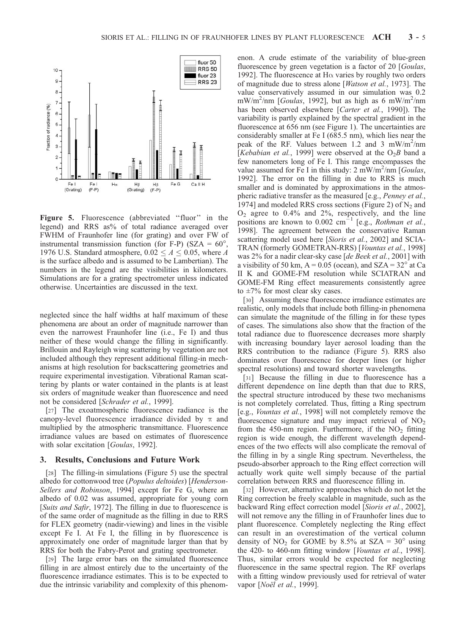

Figure 5. Fluorescence (abbreviated "fluor" in the legend) and RRS as% of total radiance averaged over FWHM of Fraunhofer line (for grating) and over FW of instrumental transmission function (for F-P) (SZA =  $60^{\circ}$ , 1976 U.S. Standard atmosphere,  $0.02 \le A \le 0.05$ , where A is the surface albedo and is assumed to be Lambertian). The numbers in the legend are the visibilities in kilometers. Simulations are for a grating spectrometer unless indicated otherwise. Uncertainties are discussed in the text.

neglected since the half widths at half maximum of these phenomena are about an order of magnitude narrower than even the narrowest Fraunhofer line (i.e., Fe I) and thus neither of these would change the filling in significantly. Brillouin and Rayleigh wing scattering by vegetation are not included although they represent additional filling-in mechanisms at high resolution for backscattering geometries and require experimental investigation. Vibrational Raman scattering by plants or water contained in the plants is at least six orders of magnitude weaker than fluorescence and need not be considered [Schrader et al., 1999].

[27] The exoatmospheric fluorescence radiance is the canopy-level fluorescence irradiance divided by  $\pi$  and multiplied by the atmospheric transmittance. Fluorescence irradiance values are based on estimates of fluorescence with solar excitation [Goulas, 1992].

### 3. Results, Conclusions and Future Work

[28] The filling-in simulations (Figure 5) use the spectral albedo for cottonwood tree (Populus deltoides) [Henderson-Sellers and Robinson, 1994] except for Fe G, where an albedo of 0.02 was assumed, appropriate for young corn [Suits and Safir, 1972]. The filling in due to fluorescence is of the same order of magnitude as the filling in due to RRS for FLEX geometry (nadir-viewing) and lines in the visible except Fe I. At Fe I, the filling in by fluorescence is approximately one order of magnitude larger than that by RRS for both the Fabry-Perot and grating spectrometer.

[29] The large error bars on the simulated fluorescence filling in are almost entirely due to the uncertainty of the fluorescence irradiance estimates. This is to be expected to due the intrinsic variability and complexity of this phenomenon. A crude estimate of the variability of blue-green fluorescence by green vegetation is a factor of 20 [Goulas, 1992]. The fluorescence at  $H\alpha$  varies by roughly two orders of magnitude due to stress alone [Watson et al., 1973]. The value conservatively assumed in our simulation was 0.2 mW/m<sup>2</sup>/nm [*Goulas*, 1992], but as high as 6 mW/m<sup>2</sup>/nm has been observed elsewhere [*Carter et al.*, 1990]). The variability is partly explained by the spectral gradient in the fluorescence at 656 nm (see Figure 1). The uncertainties are considerably smaller at Fe I (685.5 nm), which lies near the peak of the RF. Values between 1.2 and 3 mW/m<sup>2</sup>/nm [Kebabian et al., 1999] were observed at the  $O_2B$  band a few nanometers long of Fe I. This range encompasses the value assumed for Fe I in this study:  $2 \text{ mW/m}^2/\text{nm}$  [*Goulas*, 1992]. The error on the filling in due to RRS is much smaller and is dominated by approximations in the atmospheric radiative transfer as the measured [e.g., Penney et al., 1974] and modeled RRS cross sections (Figure 2) of  $N_2$  and  $O_2$  agree to 0.4% and 2%, respectively, and the line positions are known to  $0.002 \text{ cm}^{-1}$  [e.g., *Rothman et al.*, 1998]. The agreement between the conservative Raman scattering model used here [Sioris et al., 2002] and SCIA-TRAN (formerly GOMETRAN-RRS) [Vountas et al., 1998] was 2% for a nadir clear-sky case [de Beek et al., 2001] with a visibility of 50 km,  $A = 0.05$  (ocean), and SZA = 32 $^{\circ}$  at Ca II K and GOME-FM resolution while SCIATRAN and GOME-FM Ring effect measurements consistently agree to  $\pm 7\%$  for most clear sky cases.

[30] Assuming these fluorescence irradiance estimates are realistic, only models that include both filling-in phenomena can simulate the magnitude of the filling in for these types of cases. The simulations also show that the fraction of the total radiance due to fluorescence decreases more sharply with increasing boundary layer aerosol loading than the RRS contribution to the radiance (Figure 5). RRS also dominates over fluorescence for deeper lines (or higher spectral resolutions) and toward shorter wavelengths.

[31] Because the filling in due to fluorescence has a different dependence on line depth than that due to RRS, the spectral structure introduced by these two mechanisms is not completely correlated. Thus, fitting a Ring spectrum [e.g., Vountas et al., 1998] will not completely remove the fluorescence signature and may impact retrieval of  $NO<sub>2</sub>$ from the 450-nm region. Furthermore, if the  $NO<sub>2</sub>$  fitting region is wide enough, the different wavelength dependences of the two effects will also complicate the removal of the filling in by a single Ring spectrum. Nevertheless, the pseudo-absorber approach to the Ring effect correction will actually work quite well simply because of the partial correlation between RRS and fluorescence filling in.

[32] However, alternative approaches which do not let the Ring correction be freely scalable in magnitude, such as the backward Ring effect correction model [Sioris et al., 2002], will not remove any the filling in of Fraunhofer lines due to plant fluorescence. Completely neglecting the Ring effect can result in an overestimation of the vertical column density of  $NO<sub>2</sub>$  for GOME by 8.5% at SZA = 30° using the 420- to 460-nm fitting window [Vountas et al., 1998]. Thus, similar errors would be expected for neglecting fluorescence in the same spectral region. The RF overlaps with a fitting window previously used for retrieval of water vapor [*Noël et al.*, 1999].